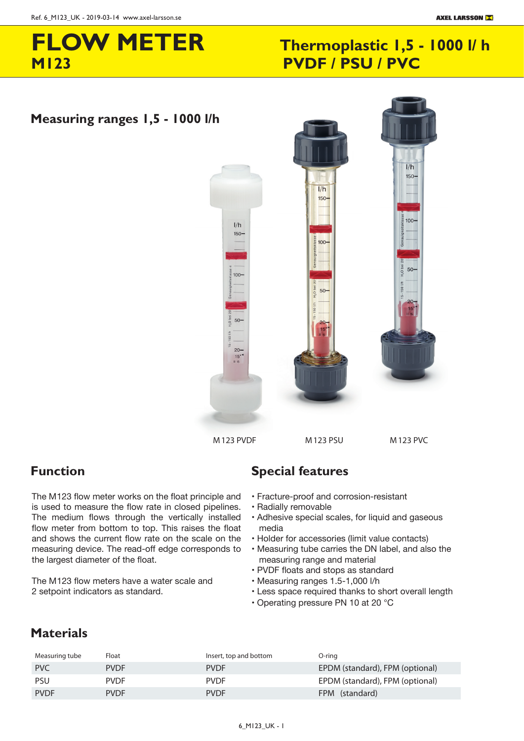# **M123 PVDF / PSU / PVC FLOW METER**

# **Thermoplastic 1,5 - 1000 l/h**

### $M_{\rm 200}$  meter meter and  $\Gamma$ **Measuring ranges 1,5 - 1000 l/h**



### **Function**

The M 123 flow meter works on the float principle and is used to measure the flow rate in closed pipelines. The medium flows through the vertically installed flow meter from bottom to top. This raises the float and shows the current flow rate on the scale on the measuring device. The read-off edge corresponds to the largest diameter of the float.

The M 123 flow meters have a water scale and 2 setpoint indicators as standard.

### SPECIAL FEATURES **Function Special features**

- Fracture-proof and corrosion-resistant
- Radially removable
- Adhesive special scales, for liquid and gaseous media
- Holder for accessories (limit value contacts)
- Measuring tube carries the DN label, and also the measuring range and material
- PVDF floats and stops as standard
- Measuring ranges 1.5-1,000 l/h
- Less space required thanks to short overall length
- Operating pressure PN 10 at 20 °C

### **Materials**

| Measuring tube | Float       | Insert, top and bottom | O-ring                          |
|----------------|-------------|------------------------|---------------------------------|
| <b>PVC</b>     | <b>PVDF</b> | <b>PVDF</b>            | EPDM (standard), FPM (optional) |
| <b>PSU</b>     | <b>PVDF</b> | <b>PVDF</b>            | EPDM (standard), FPM (optional) |
| <b>PVDF</b>    | <b>PVDF</b> | <b>PVDF</b>            | FPM (standard)                  |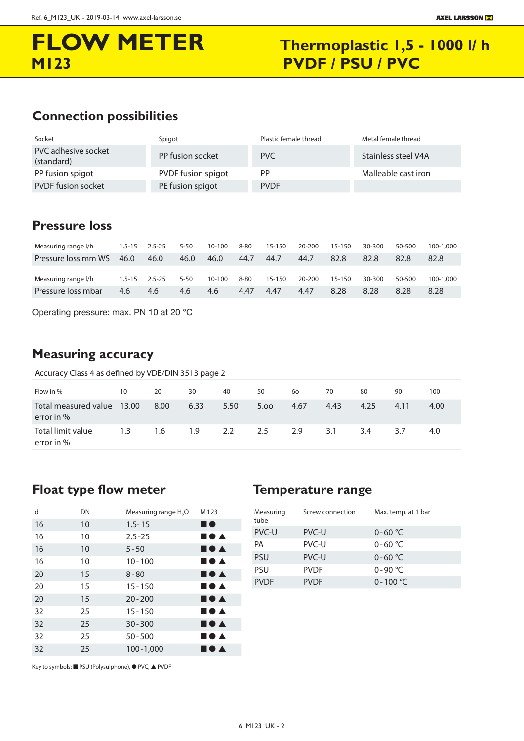# **FLOW METER Thermoplastic 1,5 - 1000 l/ h M123 PVDF / PSU / PVC**

### CONNECTION POSSIBILITIES **Connection possibilities**

| Socket                            | Spigot             | Plastic female thread | Metal female thread |
|-----------------------------------|--------------------|-----------------------|---------------------|
| PVC adhesive socket<br>(standard) | PP fusion socket   | PVC                   | Stainless steel V4A |
| PP fusion spigot                  | PVDF fusion spigot | PP                    | Malleable cast iron |
| <b>PVDF</b> fusion socket         | PE fusion spigot   | <b>PVDF</b>           |                     |

### **Pressure loss**

| Measuring range I/h | $1.5 - 15$ | $2.5 - 25$ | $5 - 50$ | $10 - 100$ | $8 - 80$ | $15 - 150$ | 20-200 | $15 - 150$ | 30-300 | 50-500 | 100-1.000 |
|---------------------|------------|------------|----------|------------|----------|------------|--------|------------|--------|--------|-----------|
| Pressure loss mm WS | 46.0       | 46.0       | 46.0     | 46.0       | 44.7     | 44.7       | 44.7   | 82.8       | 82.8   | 82.8   | 82.8      |
| Measuring range l/h | $1.5 - 15$ | $2.5 - 25$ | $5 - 50$ | $10 - 100$ | $8 - 80$ | $15 - 150$ | 20-200 | $15 - 150$ | 30-300 | 50-500 | 100-1.000 |
| Pressure loss mbar  | 4.6        | 4.6        | 4.6      | 4.6        | 4.47     | 4.47       | 4.47   | 8.28       | 8.28   | 8.28   | 8.28      |

Operating pressure: max. PN 10 at 20 °C

## **Measuring accuracy**

|  | Accuracy Class 4 as defined by VDE/DIN 3513 page 2 |  |  |
|--|----------------------------------------------------|--|--|
|--|----------------------------------------------------|--|--|

| Flow in %                            | 10    | 20   | 30   | 40   | 50   | 60   | 70   | 80   | 90   | 100  |
|--------------------------------------|-------|------|------|------|------|------|------|------|------|------|
| Total measured value<br>error in $%$ | 13.00 | 8.00 | 6.33 | 5.50 | 5.00 | 4.67 | 4.43 | 4.25 | 4.11 | 4.00 |
| Total limit value<br>error in $%$    | 1.3   | 1.6  | 1.9  | 2.2  | 2.5  | 2.9  | 3.1  | 3.4  | 3.7  | 4.0  |

### Float type flow meter **FLOAT-TEMPER** Temperature range

| d  | DN | Measuring range H <sub>2</sub> O | M123                                  |
|----|----|----------------------------------|---------------------------------------|
| 16 | 10 | $1.5 - 15$                       | ■●                                    |
| 16 | 10 | $2.5 - 25$                       | ■●▲                                   |
| 16 | 10 | $5 - 50$                         | ■●▲                                   |
| 16 | 10 | $10 - 100$                       | ■●▲                                   |
| 20 | 15 | $8 - 80$                         | ■●▲                                   |
| 20 | 15 | $15 - 150$                       | ■●▲                                   |
| 20 | 15 | $20 - 200$                       | $\blacksquare \bullet \blacktriangle$ |
| 32 | 25 | $15 - 150$                       | ■●▲                                   |
| 32 | 25 | $30 - 300$                       | ■●▲                                   |
| 32 | 25 | $50 - 500$                       | ■●▲                                   |
| 32 | 25 | $100 - 1,000$                    | DA                                    |

### Temperature range

| Measuring<br>tube | Screw connection | Max. temp. at 1 bar |
|-------------------|------------------|---------------------|
| PVC-U             | PVC-U            | $0 - 60 °C$         |
| PA                | PVC-U            | $0 - 60 °C$         |
| <b>PSU</b>        | PVC-U            | $0 - 60 °C$         |
| <b>PSU</b>        | <b>PVDF</b>      | $0 - 90 °C$         |
| <b>PVDF</b>       | <b>PVDF</b>      | $0 - 100 °C$        |

Key to symbols: ■ PSU (Polysulphone), ● PVC, ▲ PVDF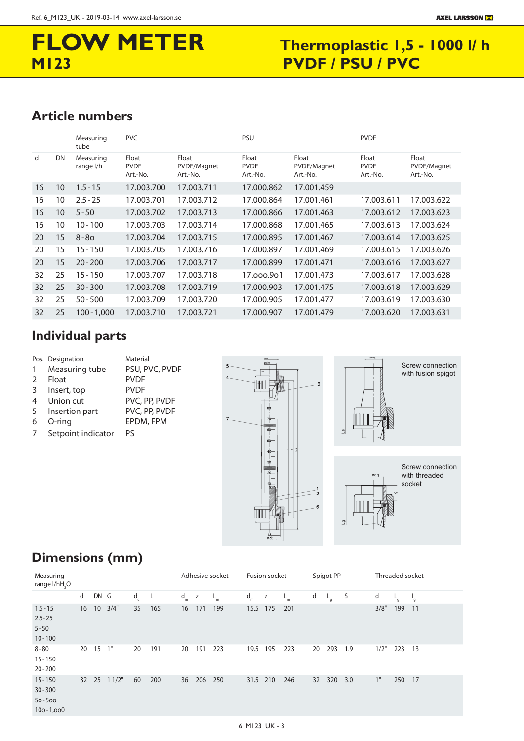# **FLOW METER**

## **FLOW METER** Thermoplastic 1,5 - 1000 l/ h<br>M123 PVDF / PSU / PVC **PVDF / PSU / PVC**

### Article numbers

|    |                 | Measuring<br>tube      | <b>PVC</b>                       |                                  | PSU                              |                                  | <b>PVDF</b>                      |                                  |
|----|-----------------|------------------------|----------------------------------|----------------------------------|----------------------------------|----------------------------------|----------------------------------|----------------------------------|
| d  | DN              | Measuring<br>range l/h | Float<br><b>PVDF</b><br>Art.-No. | Float<br>PVDF/Magnet<br>Art.-No. | Float<br><b>PVDF</b><br>Art.-No. | Float<br>PVDF/Magnet<br>Art.-No. | Float<br><b>PVDF</b><br>Art.-No. | Float<br>PVDF/Magnet<br>Art.-No. |
| 16 | 10              | $1.5 - 15$             | 17.003.700                       | 17.003.711                       | 17.000.862                       | 17.001.459                       |                                  |                                  |
| 16 | 10              | $2.5 - 25$             | 17.003.701                       | 17.003.712                       | 17.000.864                       | 17.001.461                       | 17.003.611                       | 17.003.622                       |
| 16 | 10 <sup>°</sup> | $5 - 50$               | 17.003.702                       | 17.003.713                       | 17.000.866                       | 17.001.463                       | 17.003.612                       | 17.003.623                       |
| 16 | 10              | $10 - 100$             | 17.003.703                       | 17.003.714                       | 17.000.868                       | 17.001.465                       | 17.003.613                       | 17.003.624                       |
| 20 | 15              | $8 - 80$               | 17.003.704                       | 17.003.715                       | 17.000.895                       | 17.001.467                       | 17.003.614                       | 17.003.625                       |
| 20 | 15              | $15 - 150$             | 17.003.705                       | 17.003.716                       | 17.000.897                       | 17.001.469                       | 17.003.615                       | 17.003.626                       |
| 20 | 15              | $20 - 200$             | 17.003.706                       | 17.003.717                       | 17.000.899                       | 17.001.471                       | 17.003.616                       | 17.003.627                       |
| 32 | 25              | $15 - 150$             | 17.003.707                       | 17.003.718                       | 17.000.901                       | 17.001.473                       | 17.003.617                       | 17.003.628                       |
| 32 | 25              | $30 - 300$             | 17.003.708                       | 17.003.719                       | 17.000.903                       | 17.001.475                       | 17.003.618                       | 17.003.629                       |
| 32 | 25              | $50 - 500$             | 17.003.709                       | 17.003.720                       | 17.000.905                       | 17.001.477                       | 17.003.619                       | 17.003.630                       |
| 32 | 25              | $100 - 1,000$          | 17.003.710                       | 17.003.721                       | 17.000.907                       | 17.001.479                       | 17.003.620                       | 17.003.631                       |

### **Individual parts**

- Pos. Designation Material
- 1 Measuring tube PSU, PVC, PVDF
- 2 Float PVDF
	-
- 3 Insert, top PVDF 4 Union cut PVC, PP, PVDF
- 5 Insertion part PVC, PP, PVDF
- 
- 
- 6 O-ring EPDM, FPM
- 7 Setpoint indicator PS



with fusion spigot



### **Dimensions (mm)**

| Measuring<br>range l/hH <sub>2</sub> O                  |    |       |       |             |     |       |              | Adhesive socket |          | Fusion socket |       |    | Spigot PP |     |      | Threaded socket |              |
|---------------------------------------------------------|----|-------|-------|-------------|-----|-------|--------------|-----------------|----------|---------------|-------|----|-----------|-----|------|-----------------|--------------|
|                                                         | d  | DN G  |       | $d_{\rm u}$ | L,  | $d_m$ | $\mathsf{z}$ | $L_m$           | $d_m$    | Z             | $L_m$ | d  | $L_{q}$   | S   | d    | $L_g$           | $\mathbf{q}$ |
| $1.5 - 15$<br>$2.5 - 25$<br>$5 - 50$<br>$10 - 100$      | 16 | 10    | 3/4"  | 35          | 165 | 16    | 171          | 199             | 15.5     | 175           | 201   |    |           |     | 3/8" | 199             | 11           |
| $8 - 80$<br>$15 - 150$<br>$20 - 200$                    | 20 | 15    | 1"    | 20          | 191 | 20    | 191          | 223             | 19.5 195 |               | 223   | 20 | 293       | 1.9 | 1/2" | 223             | 13           |
| $15 - 150$<br>$30 - 300$<br>$50 - 500$<br>$100 - 1,000$ |    | 32 25 | 11/2" | 60          | 200 | 36    | 206          | 250             | 31.5 210 |               | 246   | 32 | 320       | 3.0 | 1"   | 250             | 17           |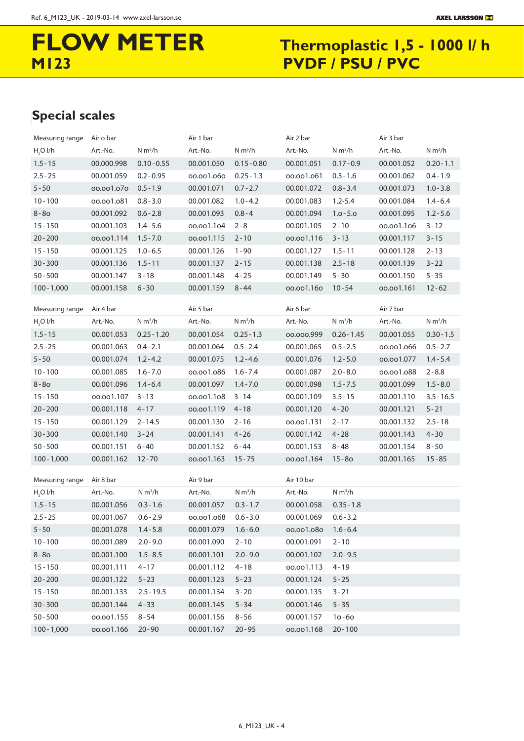# **FLOW METER** Thermoplastic 1,5 - 1000 I/ h<br>M123 PVDF / PSU / PVC **PVDF / PSU / PVC**

### SPECIAL SCALES **Special scales**

| Measuring range      | Air o bar  |                     | Air 1 bar           |                     | Air 2 bar          |                     | Air 3 bar  |                     |
|----------------------|------------|---------------------|---------------------|---------------------|--------------------|---------------------|------------|---------------------|
| H <sub>2</sub> O I/h | Art.-No.   | N m <sup>3</sup> /h | Art.-No.            | N m <sup>3</sup> /h | Art.-No.           | N m <sup>3</sup> /h | Art.-No.   | N m <sup>3</sup> /h |
| $1.5 - 15$           | 00.000.998 | $0.10 - 0.55$       | 00.001.050          | $0.15 - 0.80$       | 00.001.051         | $0.17 - 0.9$        | 00.001.052 | $0.20 - 1.1$        |
| $2.5 - 25$           | 00.001.059 | $0.2 - 0.95$        | 00.001.060          | $0.25 - 1.3$        | 00.001.061         | $0.3 - 1.6$         | 00.001.062 | $0.4 - 1.9$         |
| $5 - 50$             | 00.001.070 | $0.5 - 1.9$         | 00.001.071          | $0.7 - 2.7$         | 00.001.072         | $0.8 - 3.4$         | 00.001.073 | $1.0 - 3.8$         |
| $10 - 100$           | 00.001.081 | $0.8 - 3.0$         | 00.001.082          | $1.0 - 4.2$         | 00.001.083         | $1.2 - 5.4$         | 00.001.084 | $1.4 - 6.4$         |
| $8 - 80$             | 00.001.092 | $0.6 - 2.8$         | 00.001.093          | $0.8 - 4$           | 00.001.094         | $1.0 - 5.0$         | 00.001.095 | $1.2 - 5.6$         |
| $15 - 150$           | 00.001.103 | $1.4 - 5.6$         | 00.001.104          | $2 - 8$             | 00.001.105         | $2 - 10$            | 00.001.106 | $3 - 12$            |
| $20 - 200$           | 00.001.114 | $1.5 - 7.0$         | 00.001.115          | $2 - 10$            | 00.001.116         | $3 - 13$            | 00.001.117 | $3 - 15$            |
| $15 - 150$           | 00.001.125 | $1.0 - 6.5$         | 00.001.126          | $1 - 90$            | 00.001.127         | $1.5 - 11$          | 00.001.128 | $2 - 13$            |
| $30 - 300$           | 00.001.136 | $1.5 - 11$          | 00.001.137          | $2 - 15$            | 00.001.138         | $2.5 - 18$          | 00.001.139 | $3 - 22$            |
| $50 - 500$           | 00.001.147 | $3 - 18$            | 00.001.148          | $4 - 25$            | 00.001.149         | $5 - 30$            | 00.001.150 | $5 - 35$            |
| $100 - 1,000$        | 00.001.158 | $6 - 30$            | 00.001.159          | $8 - 44$            | 00.001.160         | $10 - 54$           | 00.001.161 | $12 - 62$           |
|                      |            |                     |                     |                     |                    |                     |            |                     |
| Measuring range      | Air 4 bar  |                     | Air 5 bar           |                     | Air 6 bar          |                     | Air 7 bar  |                     |
| H <sub>2</sub> O I/h | Art.-No.   | N m <sup>3</sup> /h | Art.-No.            | N m <sup>3</sup> /h | Art.-No.           | N m <sup>3</sup> /h | Art.-No.   | N m <sup>3</sup> /h |
| $1.5 - 15$           | 00.001.053 | $0.25 - 1.20$       | 00.001.054          | $0.25 - 1.3$        | 00.000.999         | $0.26 - 1.45$       | 00.001.055 | $0.30 - 1.5$        |
| $2.5 - 25$           | 00.001.063 | $0.4 - 2.1$         | 00.001.064          | $0.5 - 2.4$         | 00.001.065         | $0.5 - 2.5$         | 00.001.066 | $0.5 - 2.7$         |
| $5 - 50$             | 00.001.074 | $1.2 - 4.2$         | 00.001.075          | $1.2 - 4.6$         | 00.001.076         | $1.2 - 5.0$         | 00.001.077 | $1.4 - 5.4$         |
| $10 - 100$           | 00.001.085 | $1.6 - 7.0$         | 00.001.086          | $1.6 - 7.4$         | 00.001.087         | $2.0 - 8.0$         | 00.001.088 | $2 - 8.8$           |
| $8 - 80$             | 00.001.096 | $1.4 - 6.4$         | 00.001.097          | $1.4 - 7.0$         | 00.001.098         | $1.5 - 7.5$         | 00.001.099 | $1.5 - 8.0$         |
| $15 - 150$           | 00.001.107 | $3 - 13$            | 00.001.108          | $3 - 14$            | 00.001.109         | $3.5 - 15$          | 00.001.110 | $3.5 - 16.5$        |
| $20 - 200$           | 00.001.118 | $4 - 17$            | 00.001.119          | $4 - 18$            | 00.001.120         | $4 - 20$            | 00.001.121 | $5 - 21$            |
| $15 - 150$           | 00.001.129 | $2 - 14.5$          | 00.001.130          | $2 - 16$            | 00.001.131         | $2 - 17$            | 00.001.132 | $2.5 - 18$          |
| $30 - 300$           | 00.001.140 | $3 - 24$            | 00.001.141          | $4 - 26$            | 00.001.142         | $4 - 28$            | 00.001.143 | $4 - 30$            |
| $50 - 500$           | 00.001.151 | $6 - 40$            | 00.001.152          | $6 - 44$            | 00.001.153         | $8 - 48$            | 00.001.154 | $8 - 50$            |
| $100 - 1,000$        | 00.001.162 | $12 - 70$           | 00.001.163          | $15 - 75$           | 00.001.164         | $15 - 80$           | 00.001.165 | $15 - 85$           |
| Measuring range      | Air 8 bar  |                     | Air 9 bar           |                     | Air 10 bar         |                     |            |                     |
| H <sub>2</sub> O I/h | Art.-No.   | N m <sup>3</sup> /h | Art.-No.            | N m <sup>3</sup> /h | Art.-No.           | N m <sup>3</sup> /h |            |                     |
| $1.5 - 15$           | 00.001.056 | $0.3 - 1.6$         | 00.001.057          | $0.3 - 1.7$         | 00.001.058         | $0.35 - 1.8$        |            |                     |
| $2.5 - 25$           | 00.001.067 | $0.6 - 2.9$         | 00.001.068          | $0.6 - 3.0$         | 00.001.069         | $0.6 - 3.2$         |            |                     |
| $5 - 50$             | 00.001.078 | $1.4 - 5.8$         | 00.001.079  1.6-6.0 |                     | 00.001.080 1.6-6.4 |                     |            |                     |
| $10 - 100$           | 00.001.089 | $2.0 - 9.0$         | 00.001.090          | $2 - 10$            | 00.001.091         | $2 - 10$            |            |                     |
| $8 - 80$             | 00.001.100 | $1.5 - 8.5$         | 00.001.101          | $2.0 - 9.0$         | 00.001.102         | $2.0 - 9.5$         |            |                     |
| $15 - 150$           | 00.001.111 | $4 - 17$            | 00.001.112          | $4 - 18$            | 00.001.113         | $4 - 19$            |            |                     |
| $20 - 200$           | 00.001.122 | $5 - 23$            | 00.001.123          | $5 - 23$            | 00.001.124         | $5 - 25$            |            |                     |
| $15 - 150$           | 00.001.133 | $2.5 - 19.5$        | 00.001.134          | $3 - 20$            | 00.001.135         | $3 - 21$            |            |                     |
| $30 - 300$           | 00.001.144 | $4 - 33$            | 00.001.145          | $5 - 34$            | 00.001.146         | $5 - 35$            |            |                     |
| $50 - 500$           | 00.001.155 | $8 - 54$            | 00.001.156          | $8 - 56$            | 00.001.157         | $10 - 60$           |            |                     |
| $100 - 1,000$        | 00.001.166 | $20 - 90$           | 00.001.167          | $20 - 95$           | 00.001.168         | $20 - 100$          |            |                     |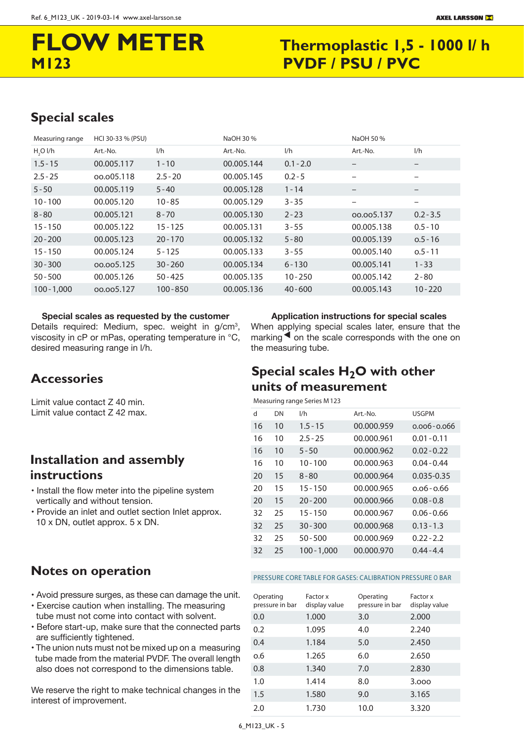# **M123 PVDF / PSU / PVC**

# **FLOW METER** Thermoplastic 1,5 - 1000 l/ h

### SPECIAL SCALES **Special scales**

| Measuring range      | HCI 30-33 % (PSU) |             | NaOH 30 %  |             | NaOH 50 %         |                          |
|----------------------|-------------------|-------------|------------|-------------|-------------------|--------------------------|
| H <sub>2</sub> O I/h | Art.-No.          | 1/h         | Art.-No.   | 1/h         | Art.-No.          | 1/h                      |
| $1.5 - 15$           | 00.005.117        | $1 - 10$    | 00.005.144 | $0.1 - 2.0$ | $\qquad \qquad -$ | $\overline{\phantom{0}}$ |
| $2.5 - 25$           | 00.005.118        | $2.5 - 20$  | 00.005.145 | $0.2 - 5$   |                   |                          |
| $5 - 50$             | 00.005.119        | $5 - 40$    | 00.005.128 | $1 - 14$    | -                 | $\qquad \qquad$          |
| $10 - 100$           | 00.005.120        | $10 - 85$   | 00.005.129 | $3 - 35$    | -                 | -                        |
| $8 - 80$             | 00.005.121        | $8 - 70$    | 00.005.130 | $2 - 23$    | 00.005.137        | $0.2 - 3.5$              |
| $15 - 150$           | 00.005.122        | $15 - 125$  | 00.005.131 | $3 - 55$    | 00.005.138        | $0.5 - 10$               |
| $20 - 200$           | 00.005.123        | $20 - 170$  | 00.005.132 | $5 - 80$    | 00.005.139        | $0.5 - 16$               |
| $15 - 150$           | 00.005.124        | $5 - 125$   | 00.005.133 | $3 - 55$    | 00.005.140        | $0.5 - 11$               |
| $30 - 300$           | 00.005.125        | $30 - 260$  | 00.005.134 | $6 - 130$   | 00.005.141        | $1 - 33$                 |
| $50 - 500$           | 00.005.126        | $50 - 425$  | 00.005.135 | $10 - 250$  | 00.005.142        | $2 - 80$                 |
| $100 - 1,000$        | 00.005.127        | $100 - 850$ | 00.005.136 | $40 - 600$  | 00.005.143        | $10 - 220$               |

**Special scales as requested by the customer** Details required: Medium, spec. weight in g/cm<sup>3</sup>, viscosity in cP or mPas, operating temperature in °C, desired measuring range in l/h.

### **Accessories**

Limit value contact Z 40 min. Limit value contact Z 42 max.

### **instructions Installation and assembly**

- Install the flow meter into the pipeline system vertically and without tension.
- Provide an inlet and outlet section Inlet approx. 10 x DN, outlet approx. 5 x DN.

#### **Application instructions for special scales**

When applying special scales later, ensure that the  $marking \blacktriangleleft$  on the scale corresponds with the one on the measuring tube.

### units of measurement **Special scales H<sub>2</sub>O with other**

#### Measuring range Series M123

| d  | DN | 1/h           | $Art.-No.$ | <b>USGPM</b>    |
|----|----|---------------|------------|-----------------|
| 16 | 10 | $1.5 - 15$    | 00.000.959 | $0.006 - 0.066$ |
| 16 | 10 | $2.5 - 25$    | 00.000.961 | $0.01 - 0.11$   |
| 16 | 10 | $5 - 50$      | 00.000.962 | $0.02 - 0.22$   |
| 16 | 10 | $10 - 100$    | 00.000.963 | $0.04 - 0.44$   |
| 20 | 15 | $8 - 80$      | 00.000.964 | $0.035 - 0.35$  |
| 20 | 15 | $15 - 150$    | 00.000.965 | ი.ი6-ი.66       |
| 20 | 15 | $20 - 200$    | 00.000.966 | $0.08 - 0.8$    |
| 32 | 25 | $15 - 150$    | 00.000.967 | $0.06 - 0.66$   |
| 32 | 25 | $30 - 300$    | 00.000.968 | $0.13 - 1.3$    |
| 32 | 25 | $50 - 500$    | 00.000.969 |                 |
| 32 | 25 | $100 - 1.000$ | 00.000.970 | በ 44 - 4 4      |

### NOTES ON OPERATION **Notes on operation**

- Avoid pressure surges, as these can damage the unit.
- Exercise caution when installing. The measuring tube must not come into contact with solvent.
- Before start-up, make sure that the connected parts are sufficiently tightened.
- The union nuts must not be mixed up on a measuring tube made from the material PVDF. The overall length also does not correspond to the dimensions table.

We reserve the right to make technical changes in the interest of improvement.

#### PRESSURE CORE TABLE FOR GASES: CALIBRATION PRESSURE O BAR

| Operating<br>pressure in bar | Factor x<br>display value | Operating<br>pressure in bar | Factor x<br>display value |
|------------------------------|---------------------------|------------------------------|---------------------------|
| 0.0                          | 1.000                     | 3.0                          | 2.000                     |
| 0.2                          | 1.095                     | 4.0                          | 2.240                     |
| 0.4                          | 1.184                     | 5.0                          | 2.450                     |
| 0.6                          | 1.265                     | 6.0                          | 2.650                     |
| 0.8                          | 1.340                     | 7.0                          | 2.830                     |
| 1.0                          | 1.414                     | 8.0                          | 3.000                     |
| 1.5                          | 1.580                     | 9.0                          | 3.165                     |
| 2.0                          | 1.730                     | 10.0                         | 3.320                     |